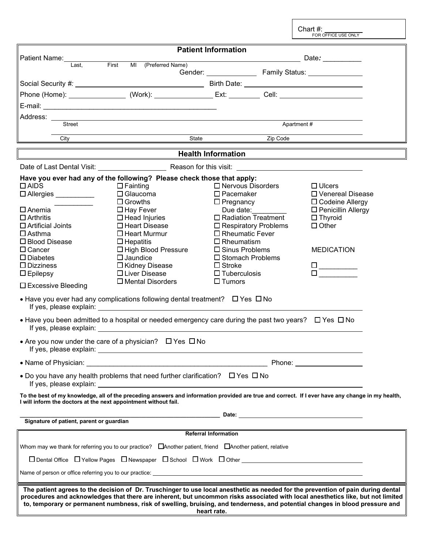|                                                                                                                                                                                                                                                                                                                                                                                                                    |                                                                                                                 |                             |                                | Chart $#$ :<br>FOR OFFICE USE ONLY                |  |  |  |  |
|--------------------------------------------------------------------------------------------------------------------------------------------------------------------------------------------------------------------------------------------------------------------------------------------------------------------------------------------------------------------------------------------------------------------|-----------------------------------------------------------------------------------------------------------------|-----------------------------|--------------------------------|---------------------------------------------------|--|--|--|--|
| <b>Patient Information</b>                                                                                                                                                                                                                                                                                                                                                                                         |                                                                                                                 |                             |                                |                                                   |  |  |  |  |
| Patient Name:<br>Last.                                                                                                                                                                                                                                                                                                                                                                                             | First MI (Preferred Name)                                                                                       |                             |                                |                                                   |  |  |  |  |
|                                                                                                                                                                                                                                                                                                                                                                                                                    |                                                                                                                 |                             |                                |                                                   |  |  |  |  |
|                                                                                                                                                                                                                                                                                                                                                                                                                    |                                                                                                                 |                             |                                |                                                   |  |  |  |  |
|                                                                                                                                                                                                                                                                                                                                                                                                                    |                                                                                                                 |                             |                                |                                                   |  |  |  |  |
|                                                                                                                                                                                                                                                                                                                                                                                                                    |                                                                                                                 |                             |                                |                                                   |  |  |  |  |
|                                                                                                                                                                                                                                                                                                                                                                                                                    |                                                                                                                 |                             |                                |                                                   |  |  |  |  |
| Street                                                                                                                                                                                                                                                                                                                                                                                                             |                                                                                                                 | Apartment#                  |                                |                                                   |  |  |  |  |
|                                                                                                                                                                                                                                                                                                                                                                                                                    | City <b>City City City City City City City City City City City City</b>                                         | State                       | Zip Code                       |                                                   |  |  |  |  |
|                                                                                                                                                                                                                                                                                                                                                                                                                    |                                                                                                                 | <b>Health Information</b>   |                                |                                                   |  |  |  |  |
|                                                                                                                                                                                                                                                                                                                                                                                                                    |                                                                                                                 |                             |                                |                                                   |  |  |  |  |
|                                                                                                                                                                                                                                                                                                                                                                                                                    | Have you ever had any of the following? Please check those that apply:                                          |                             |                                |                                                   |  |  |  |  |
| $\Box$ AIDS                                                                                                                                                                                                                                                                                                                                                                                                        | $\Box$ Fainting                                                                                                 |                             | $\Box$ Nervous Disorders       | $\Box$ Ulcers                                     |  |  |  |  |
| □ Allergies                                                                                                                                                                                                                                                                                                                                                                                                        | $\Box$ Glaucoma<br>$\Box$ Growths                                                                               | $\square$ Pacemaker         |                                | □ Venereal Disease                                |  |  |  |  |
| $\square$ Anemia                                                                                                                                                                                                                                                                                                                                                                                                   |                                                                                                                 | $\Box$ Pregnancy            | Due date:                      | □ Codeine Allergy<br>$\square$ Penicillin Allergy |  |  |  |  |
| $\Box$ Arthritis                                                                                                                                                                                                                                                                                                                                                                                                   | $\Box$ Hay Fever<br>$\Box$ Head Injuries                                                                        |                             | $\square$ Radiation Treatment  | $\Box$ Thyroid                                    |  |  |  |  |
| $\Box$ Artificial Joints                                                                                                                                                                                                                                                                                                                                                                                           | □ Heart Disease                                                                                                 |                             | $\square$ Respiratory Problems | $\Box$ Other                                      |  |  |  |  |
| $\Box$ Asthma                                                                                                                                                                                                                                                                                                                                                                                                      | $\Box$ Heart Murmur                                                                                             | $\Box$ Rheumatic Fever      |                                |                                                   |  |  |  |  |
| □ Blood Disease                                                                                                                                                                                                                                                                                                                                                                                                    | $\Box$ Hepatitis                                                                                                | $\Box$ Rheumatism           |                                |                                                   |  |  |  |  |
| $\Box$ Cancer                                                                                                                                                                                                                                                                                                                                                                                                      | □ High Blood Pressure                                                                                           | $\square$ Sinus Problems    |                                | <b>MEDICATION</b>                                 |  |  |  |  |
| $\square$ Diabetes                                                                                                                                                                                                                                                                                                                                                                                                 | $\square$ Jaundice                                                                                              |                             | □ Stomach Problems             |                                                   |  |  |  |  |
| $\Box$ Dizziness                                                                                                                                                                                                                                                                                                                                                                                                   | □ Kidney Disease                                                                                                | $\Box$ Stroke               |                                |                                                   |  |  |  |  |
| $\square$ Epilepsy                                                                                                                                                                                                                                                                                                                                                                                                 | $\Box$ Liver Disease                                                                                            | $\Box$ Tuberculosis         |                                |                                                   |  |  |  |  |
| $\square$ Excessive Bleeding                                                                                                                                                                                                                                                                                                                                                                                       | $\Box$ Mental Disorders                                                                                         | $\Box$ Tumors               |                                |                                                   |  |  |  |  |
|                                                                                                                                                                                                                                                                                                                                                                                                                    |                                                                                                                 |                             |                                |                                                   |  |  |  |  |
| • Have you ever had any complications following dental treatment? $\Box$ Yes $\Box$ No<br>If yes, please explain: The state of the state of the state of the state of the state of the state of the state of the state of the state of the state of the state of the state of the state of the state of the state of the                                                                                           |                                                                                                                 |                             |                                |                                                   |  |  |  |  |
|                                                                                                                                                                                                                                                                                                                                                                                                                    | • Have you been admitted to a hospital or needed emergency care during the past two years? $\Box$ Yes $\Box$ No |                             |                                |                                                   |  |  |  |  |
| • Are you now under the care of a physician? $\Box$ Yes $\Box$ No                                                                                                                                                                                                                                                                                                                                                  |                                                                                                                 |                             |                                |                                                   |  |  |  |  |
|                                                                                                                                                                                                                                                                                                                                                                                                                    |                                                                                                                 |                             |                                |                                                   |  |  |  |  |
| • Do you have any health problems that need further clarification? $\Box$ Yes $\Box$ No                                                                                                                                                                                                                                                                                                                            |                                                                                                                 |                             |                                |                                                   |  |  |  |  |
| To the best of my knowledge, all of the preceding answers and information provided are true and correct. If I ever have any change in my health,<br>I will inform the doctors at the next appointment without fail.                                                                                                                                                                                                |                                                                                                                 |                             |                                |                                                   |  |  |  |  |
|                                                                                                                                                                                                                                                                                                                                                                                                                    |                                                                                                                 |                             |                                |                                                   |  |  |  |  |
| Signature of patient, parent or guardian                                                                                                                                                                                                                                                                                                                                                                           |                                                                                                                 |                             |                                |                                                   |  |  |  |  |
|                                                                                                                                                                                                                                                                                                                                                                                                                    |                                                                                                                 | <b>Referral Information</b> |                                |                                                   |  |  |  |  |
| Whom may we thank for referring you to our practice? $\Box$ Another patient, friend $\Box$ Another patient, relative                                                                                                                                                                                                                                                                                               |                                                                                                                 |                             |                                |                                                   |  |  |  |  |
| $\square$ Dental Office $\square$ Yellow Pages $\square$ Newspaper $\square$ School $\square$ Work $\square$ Other                                                                                                                                                                                                                                                                                                 |                                                                                                                 |                             |                                |                                                   |  |  |  |  |
|                                                                                                                                                                                                                                                                                                                                                                                                                    |                                                                                                                 |                             |                                |                                                   |  |  |  |  |
| The patient agrees to the decision of Dr. Truschinger to use local anesthetic as needed for the prevention of pain during dental<br>procedures and acknowledges that there are inherent, but uncommon risks associated with local anesthetics like, but not limited<br>to, temporary or permanent numbness, risk of swelling, bruising, and tenderness, and potential changes in blood pressure and<br>heart rate. |                                                                                                                 |                             |                                |                                                   |  |  |  |  |